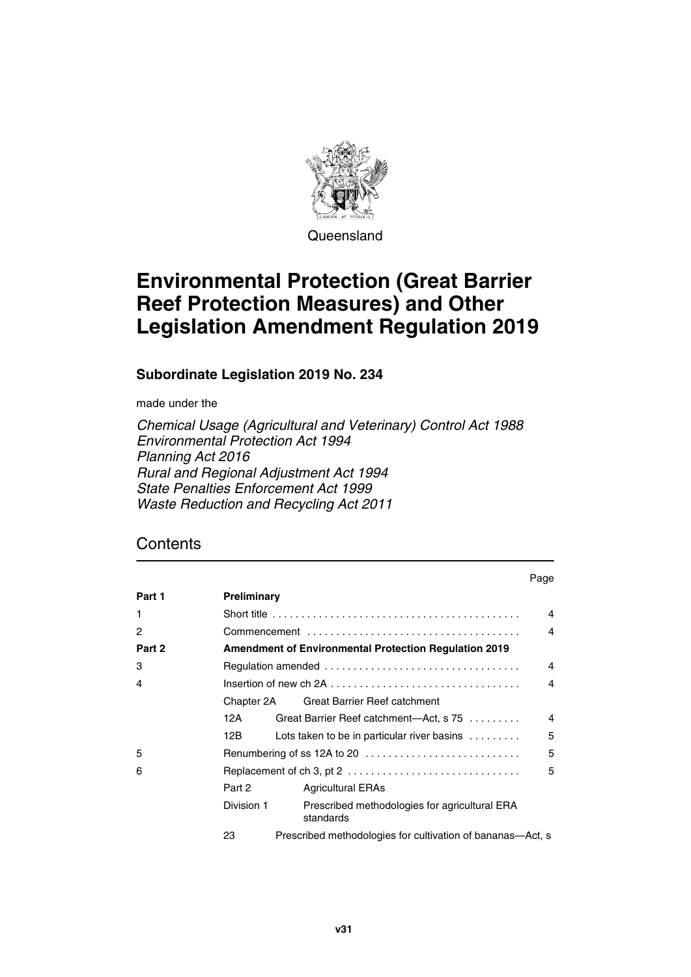

Queensland

# **Environmental Protection (Great Barrier Reef Protection Measures) and Other Legislation Amendment Regulation 2019**

**Subordinate Legislation 2019 No. 234**

made under the

*Chemical Usage (Agricultural and Veterinary) Control Act 1988 Environmental Protection Act 1994 Planning Act 2016 Rural and Regional Adjustment Act 1994 State Penalties Enforcement Act 1999 Waste Reduction and Recycling Act 2011*

# **Contents**

| Part 1       | Preliminary                                                  |                                                               |                |
|--------------|--------------------------------------------------------------|---------------------------------------------------------------|----------------|
| $\mathbf{1}$ |                                                              |                                                               |                |
| 2            |                                                              |                                                               |                |
| Part 2       | <b>Amendment of Environmental Protection Regulation 2019</b> |                                                               |                |
| 3            | $\overline{4}$                                               |                                                               |                |
| 4            |                                                              |                                                               |                |
|              |                                                              | Chapter 2A Great Barrier Reef catchment                       |                |
|              | 12A                                                          | Great Barrier Reef catchment-Act, s 75                        | $\overline{4}$ |
|              | 12B.                                                         | Lots taken to be in particular river basins $\dots\dots\dots$ | 5              |
| 5            | Renumbering of ss 12A to 20                                  |                                                               | 5              |
| 6            |                                                              |                                                               |                |
|              | Part 2                                                       | <b>Agricultural ERAs</b>                                      |                |
|              | Division 1                                                   | Prescribed methodologies for agricultural ERA<br>standards    |                |
|              | 23                                                           | Prescribed methodologies for cultivation of bananas—Act, s    |                |

Page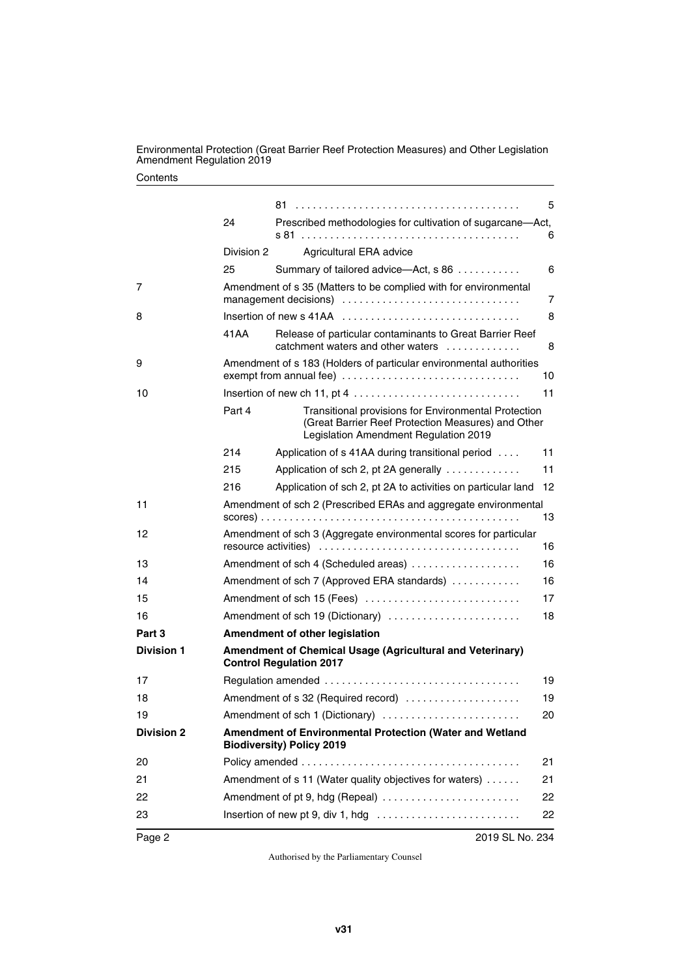#### **Contents**

|                   |                                                                                                |                                                                                                                                                            | 5  |
|-------------------|------------------------------------------------------------------------------------------------|------------------------------------------------------------------------------------------------------------------------------------------------------------|----|
|                   | 24                                                                                             | Prescribed methodologies for cultivation of sugarcane-Act,                                                                                                 | 6  |
|                   | Division 2                                                                                     | Agricultural ERA advice                                                                                                                                    |    |
|                   | 25                                                                                             | Summary of tailored advice-Act, s 86                                                                                                                       | 6  |
| 7                 | Amendment of s 35 (Matters to be complied with for environmental<br>management decisions)<br>7 |                                                                                                                                                            |    |
| 8                 |                                                                                                |                                                                                                                                                            | 8  |
|                   | 41 A A                                                                                         | Release of particular contaminants to Great Barrier Reef<br>catchment waters and other waters $\ldots$ ,,,,,,,,,,,                                         | 8  |
| 9                 | Amendment of s 183 (Holders of particular environmental authorities<br>10                      |                                                                                                                                                            |    |
| 10                |                                                                                                |                                                                                                                                                            | 11 |
|                   | Part 4                                                                                         | <b>Transitional provisions for Environmental Protection</b><br>(Great Barrier Reef Protection Measures) and Other<br>Legislation Amendment Regulation 2019 |    |
|                   | 214                                                                                            | Application of s 41AA during transitional period                                                                                                           | 11 |
|                   | 215                                                                                            | Application of sch 2, pt 2A generally                                                                                                                      | 11 |
|                   | 216                                                                                            | Application of sch 2, pt 2A to activities on particular land                                                                                               | 12 |
| 11                | Amendment of sch 2 (Prescribed ERAs and aggregate environmental<br>13                          |                                                                                                                                                            |    |
| 12                | Amendment of sch 3 (Aggregate environmental scores for particular                              |                                                                                                                                                            | 16 |
| 13                |                                                                                                | Amendment of sch 4 (Scheduled areas)                                                                                                                       | 16 |
| 14                | Amendment of sch 7 (Approved ERA standards)<br>16                                              |                                                                                                                                                            |    |
| 15                | Amendment of sch 15 (Fees)<br>17                                                               |                                                                                                                                                            |    |
| 16                | Amendment of sch 19 (Dictionary)                                                               |                                                                                                                                                            | 18 |
| Part 3            | Amendment of other legislation                                                                 |                                                                                                                                                            |    |
| <b>Division 1</b> |                                                                                                | Amendment of Chemical Usage (Agricultural and Veterinary)<br><b>Control Regulation 2017</b>                                                                |    |
| 17                |                                                                                                |                                                                                                                                                            | 19 |
| 18                | Amendment of s 32 (Required record)                                                            |                                                                                                                                                            | 19 |
| 19                | Amendment of sch 1 (Dictionary)                                                                |                                                                                                                                                            | 20 |
| <b>Division 2</b> | Amendment of Environmental Protection (Water and Wetland<br><b>Biodiversity) Policy 2019</b>   |                                                                                                                                                            |    |
| 20                |                                                                                                |                                                                                                                                                            | 21 |
| 21                | Amendment of s 11 (Water quality objectives for waters)                                        |                                                                                                                                                            | 21 |
| 22                |                                                                                                | Amendment of pt 9, hdg (Repeal)                                                                                                                            | 22 |
| 23                |                                                                                                |                                                                                                                                                            | 22 |
| Page 2            |                                                                                                | 2019 SL No. 234                                                                                                                                            |    |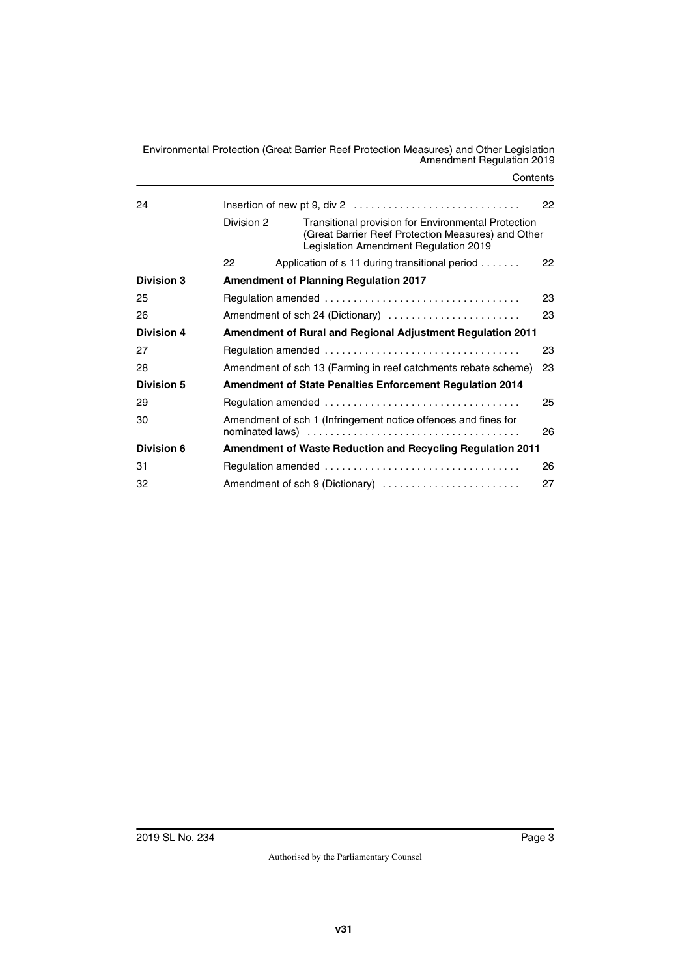**Contents** 

| 24                | 22                                                                |                                                                                                                                                           |    |
|-------------------|-------------------------------------------------------------------|-----------------------------------------------------------------------------------------------------------------------------------------------------------|----|
|                   | Division 2                                                        | <b>Transitional provision for Environmental Protection</b><br>(Great Barrier Reef Protection Measures) and Other<br>Legislation Amendment Regulation 2019 |    |
|                   | 22                                                                | Application of s 11 during transitional period                                                                                                            | 22 |
| <b>Division 3</b> | <b>Amendment of Planning Regulation 2017</b>                      |                                                                                                                                                           |    |
| 25                | 23                                                                |                                                                                                                                                           |    |
| 26                |                                                                   | Amendment of sch 24 (Dictionary)                                                                                                                          | 23 |
| <b>Division 4</b> | <b>Amendment of Rural and Regional Adjustment Regulation 2011</b> |                                                                                                                                                           |    |
| 27                |                                                                   |                                                                                                                                                           | 23 |
| 28                |                                                                   | Amendment of sch 13 (Farming in reef catchments rebate scheme)                                                                                            | 23 |
| <b>Division 5</b> | <b>Amendment of State Penalties Enforcement Regulation 2014</b>   |                                                                                                                                                           |    |
| 29                |                                                                   |                                                                                                                                                           | 25 |
| 30                |                                                                   | Amendment of sch 1 (Infringement notice offences and fines for                                                                                            | 26 |
| Division 6        |                                                                   | <b>Amendment of Waste Reduction and Recycling Regulation 2011</b>                                                                                         |    |
| 31                |                                                                   |                                                                                                                                                           | 26 |
| 32                |                                                                   | Amendment of sch 9 (Dictionary)                                                                                                                           | 27 |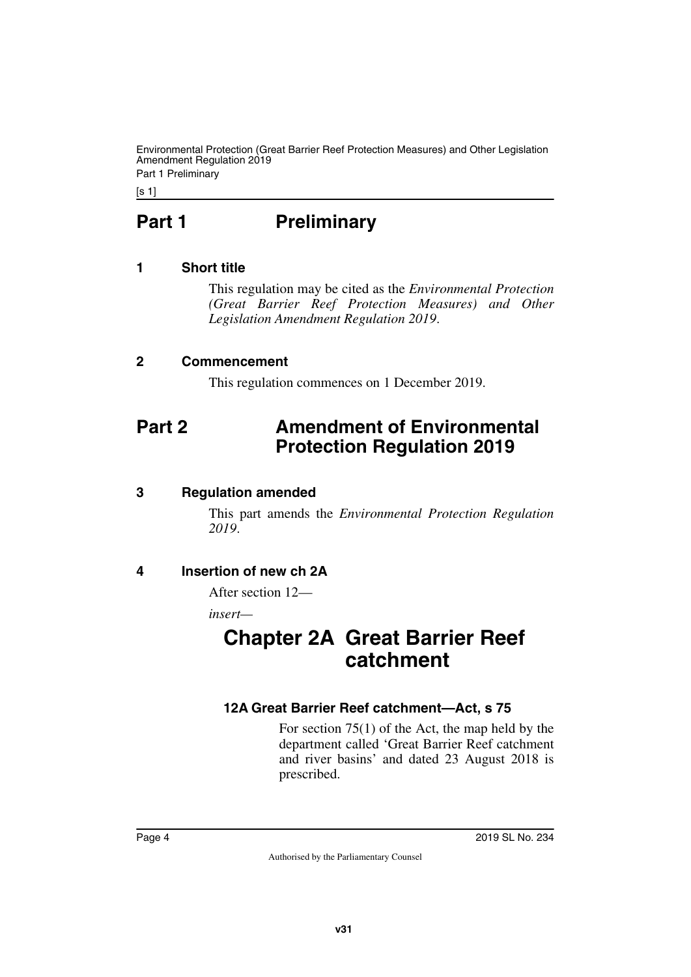Part 1 Preliminary

<span id="page-3-0"></span>[s 1]

# **Part 1** Preliminary

# <span id="page-3-2"></span>**1 Short title**

<span id="page-3-3"></span><span id="page-3-1"></span>This regulation may be cited as the *Environmental Protection (Great Barrier Reef Protection Measures) and Other Legislation Amendment Regulation 2019*.

# <span id="page-3-4"></span>**2 Commencement**

<span id="page-3-7"></span><span id="page-3-5"></span>This regulation commences on 1 December 2019.

# <span id="page-3-6"></span>**Part 2 Amendment of Environmental Protection Regulation 2019**

# <span id="page-3-8"></span>**3 Regulation amended**

<span id="page-3-9"></span>This part amends the *Environmental Protection Regulation 2019*.

# <span id="page-3-10"></span>**4 Insertion of new ch 2A**

<span id="page-3-11"></span>After section 12—

<span id="page-3-12"></span>*insert—*

# <span id="page-3-13"></span>**Chapter 2A Great Barrier Reef catchment**

# <span id="page-3-15"></span><span id="page-3-14"></span>**12A Great Barrier Reef catchment—Act, s 75**

For section 75(1) of the Act, the map held by the department called 'Great Barrier Reef catchment and river basins' and dated 23 August 2018 is prescribed.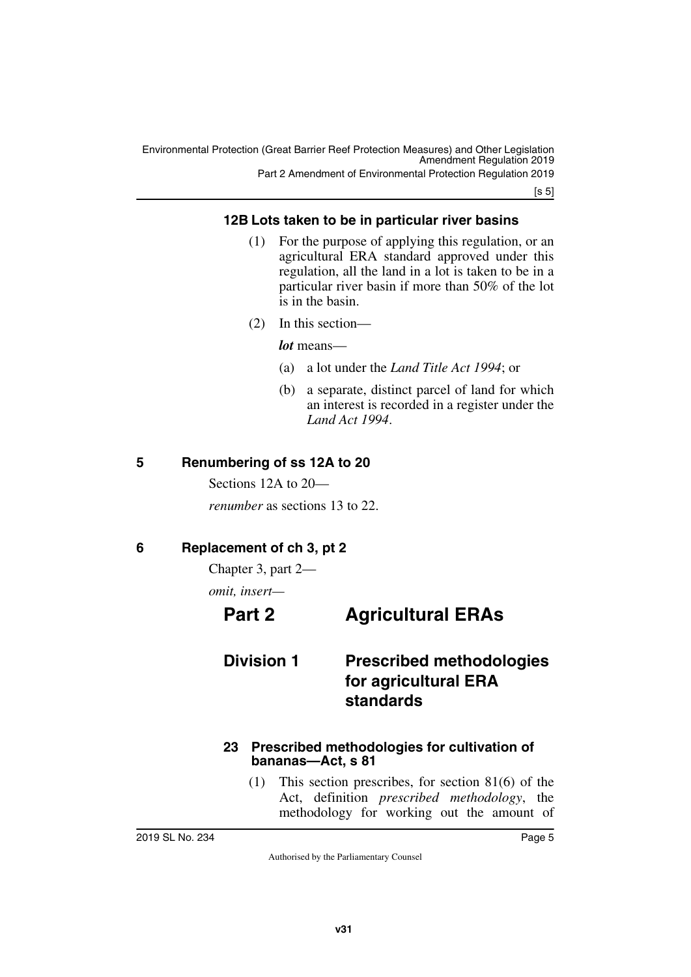[s 5]

# <span id="page-4-1"></span><span id="page-4-0"></span>**12B Lots taken to be in particular river basins**

- (1) For the purpose of applying this regulation, or an agricultural ERA standard approved under this regulation, all the land in a lot is taken to be in a particular river basin if more than 50% of the lot is in the basin.
- (2) In this section—

*lot* means—

- (a) a lot under the *Land Title Act 1994*; or
- (b) a separate, distinct parcel of land for which an interest is recorded in a register under the *Land Act 1994*.

# <span id="page-4-2"></span>**5 Renumbering of ss 12A to 20**

<span id="page-4-3"></span>Sections 12A to 20—

<span id="page-4-5"></span>*renumber* as sections 13 to 22.

# <span id="page-4-4"></span>**6 Replacement of ch 3, pt 2**

Chapter 3, part 2—

<span id="page-4-6"></span>*omit, insert—*

# <span id="page-4-7"></span>**Part 2 Agricultural ERAs**

# <span id="page-4-9"></span><span id="page-4-8"></span>**Division 1 Prescribed methodologies for agricultural ERA standards**

#### <span id="page-4-11"></span><span id="page-4-10"></span>**23 Prescribed methodologies for cultivation of bananas—Act, s 81**

(1) This section prescribes, for section 81(6) of the Act, definition *prescribed methodology*, the methodology for working out the amount of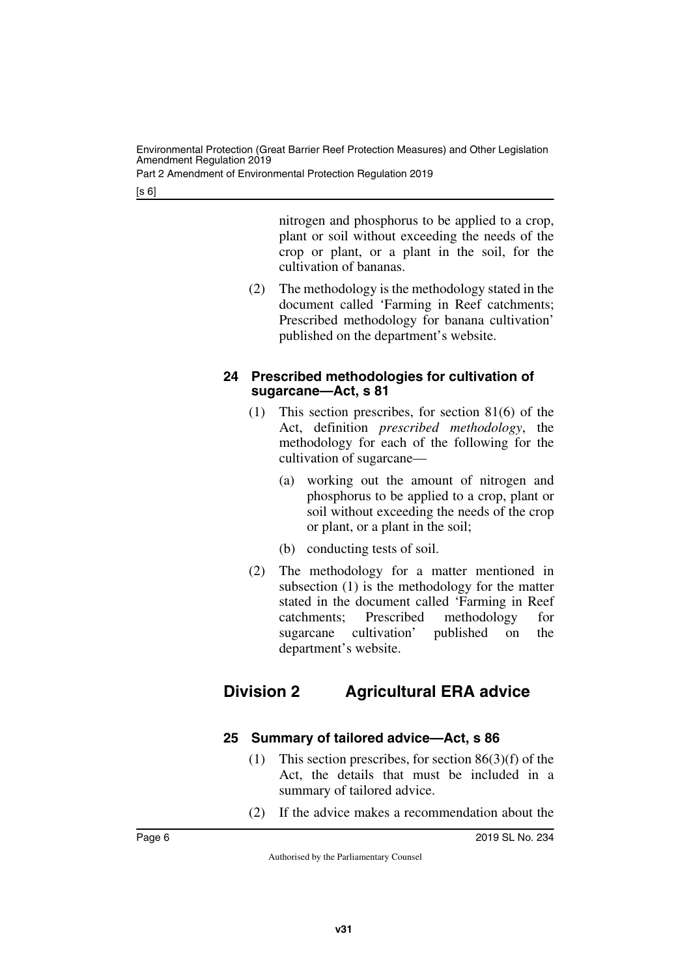Part 2 Amendment of Environmental Protection Regulation 2019

[s 6]

nitrogen and phosphorus to be applied to a crop, plant or soil without exceeding the needs of the crop or plant, or a plant in the soil, for the cultivation of bananas.

(2) The methodology is the methodology stated in the document called 'Farming in Reef catchments; Prescribed methodology for banana cultivation' published on the department's website.

### <span id="page-5-1"></span><span id="page-5-0"></span>**24 Prescribed methodologies for cultivation of sugarcane—Act, s 81**

- (1) This section prescribes, for section 81(6) of the Act, definition *prescribed methodology*, the methodology for each of the following for the cultivation of sugarcane—
	- (a) working out the amount of nitrogen and phosphorus to be applied to a crop, plant or soil without exceeding the needs of the crop or plant, or a plant in the soil;
	- (b) conducting tests of soil.
- (2) The methodology for a matter mentioned in subsection (1) is the methodology for the matter stated in the document called 'Farming in Reef catchments; Prescribed methodology for sugarcane cultivation' published on the department's website.

# <span id="page-5-3"></span><span id="page-5-2"></span>**Division 2 Agricultural ERA advice**

# <span id="page-5-5"></span><span id="page-5-4"></span>**25 Summary of tailored advice—Act, s 86**

- (1) This section prescribes, for section 86(3)(f) of the Act, the details that must be included in a summary of tailored advice.
- (2) If the advice makes a recommendation about the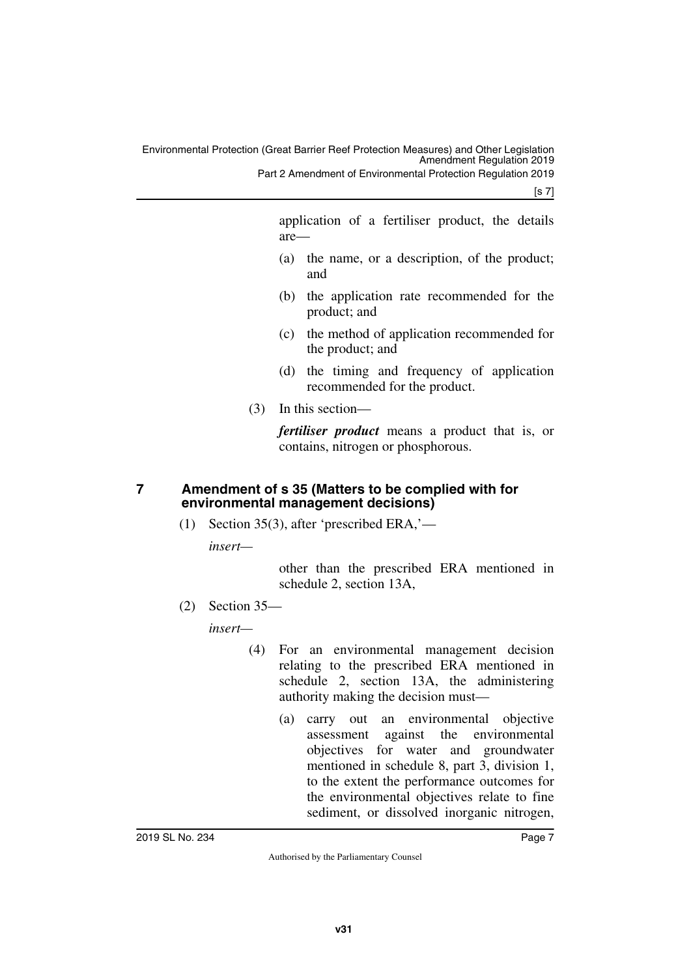Part 2 Amendment of Environmental Protection Regulation 2019

[s 7]

application of a fertiliser product, the details are—

- (a) the name, or a description, of the product; and
- (b) the application rate recommended for the product; and
- (c) the method of application recommended for the product; and
- (d) the timing and frequency of application recommended for the product.
- (3) In this section—

*fertiliser product* means a product that is, or contains, nitrogen or phosphorous.

# <span id="page-6-0"></span>**7 Amendment of s 35 (Matters to be complied with for environmental management decisions)**

<span id="page-6-1"></span>(1) Section 35(3), after 'prescribed ERA,'—

*insert—*

other than the prescribed ERA mentioned in schedule 2, section 13A,

(2) Section 35—

*insert—*

- (4) For an environmental management decision relating to the prescribed ERA mentioned in schedule 2, section 13A, the administering authority making the decision must—
	- (a) carry out an environmental objective assessment against the environmental objectives for water and groundwater mentioned in schedule 8, part 3, division 1, to the extent the performance outcomes for the environmental objectives relate to fine sediment, or dissolved inorganic nitrogen,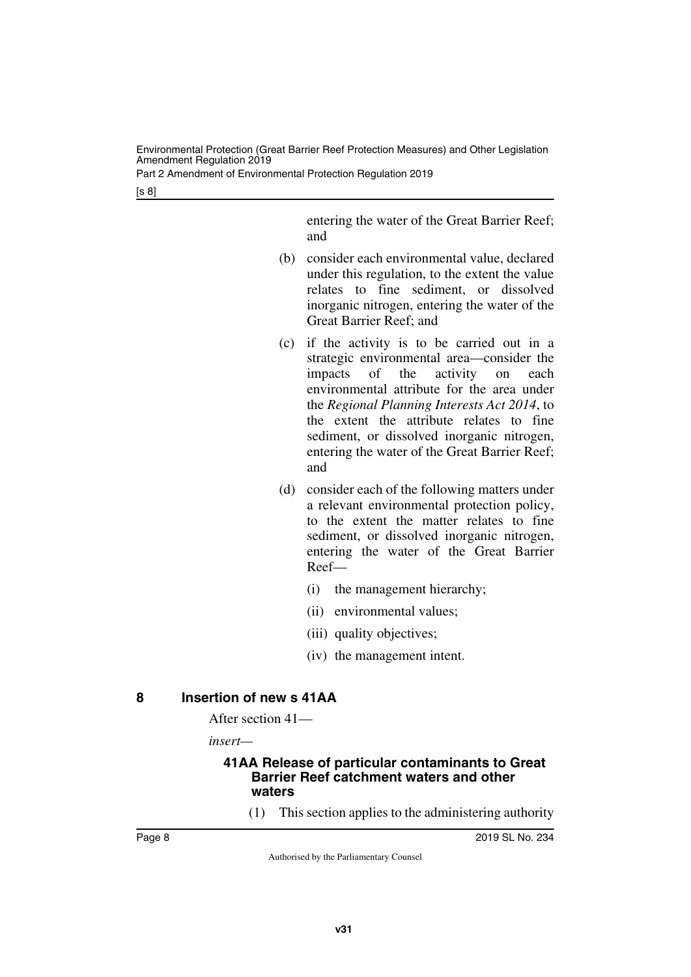Part 2 Amendment of Environmental Protection Regulation 2019

[s 8]

entering the water of the Great Barrier Reef; and

- (b) consider each environmental value, declared under this regulation, to the extent the value relates to fine sediment, or dissolved inorganic nitrogen, entering the water of the Great Barrier Reef; and
- (c) if the activity is to be carried out in a strategic environmental area—consider the impacts of the activity on each environmental attribute for the area under the *Regional Planning Interests Act 2014*, to the extent the attribute relates to fine sediment, or dissolved inorganic nitrogen, entering the water of the Great Barrier Reef; and
- (d) consider each of the following matters under a relevant environmental protection policy, to the extent the matter relates to fine sediment, or dissolved inorganic nitrogen, entering the water of the Great Barrier Reef—
	- (i) the management hierarchy;
	- (ii) environmental values;
	- (iii) quality objectives;
	- (iv) the management intent.

# <span id="page-7-0"></span>**8 Insertion of new s 41AA**

<span id="page-7-1"></span>After section 41—

*insert—*

#### <span id="page-7-3"></span><span id="page-7-2"></span>**41AA Release of particular contaminants to Great Barrier Reef catchment waters and other waters**

(1) This section applies to the administering authority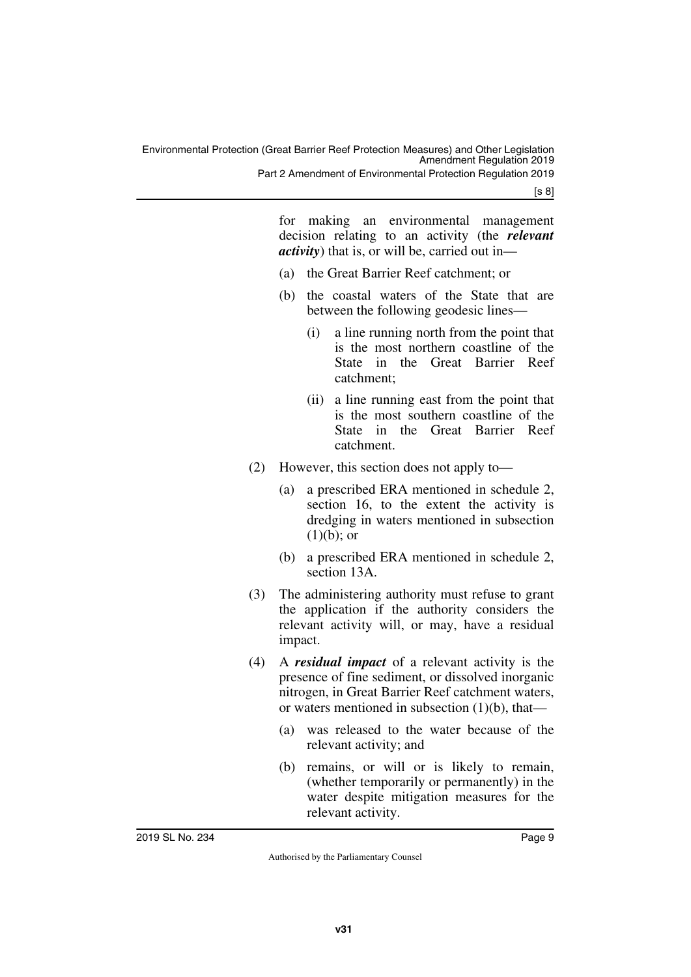Part 2 Amendment of Environmental Protection Regulation 2019

[s 8]

for making an environmental management decision relating to an activity (the *relevant activity*) that is, or will be, carried out in—

- (a) the Great Barrier Reef catchment; or
- (b) the coastal waters of the State that are between the following geodesic lines—
	- (i) a line running north from the point that is the most northern coastline of the State in the Great Barrier Reef catchment;
	- (ii) a line running east from the point that is the most southern coastline of the State in the Great Barrier Reef catchment.
- (2) However, this section does not apply to—
	- (a) a prescribed ERA mentioned in schedule 2, section 16, to the extent the activity is dredging in waters mentioned in subsection  $(1)(b)$ ; or
	- (b) a prescribed ERA mentioned in schedule 2, section 13A.
- (3) The administering authority must refuse to grant the application if the authority considers the relevant activity will, or may, have a residual impact.
- (4) A *residual impact* of a relevant activity is the presence of fine sediment, or dissolved inorganic nitrogen, in Great Barrier Reef catchment waters, or waters mentioned in subsection (1)(b), that—
	- (a) was released to the water because of the relevant activity; and
	- (b) remains, or will or is likely to remain, (whether temporarily or permanently) in the water despite mitigation measures for the relevant activity.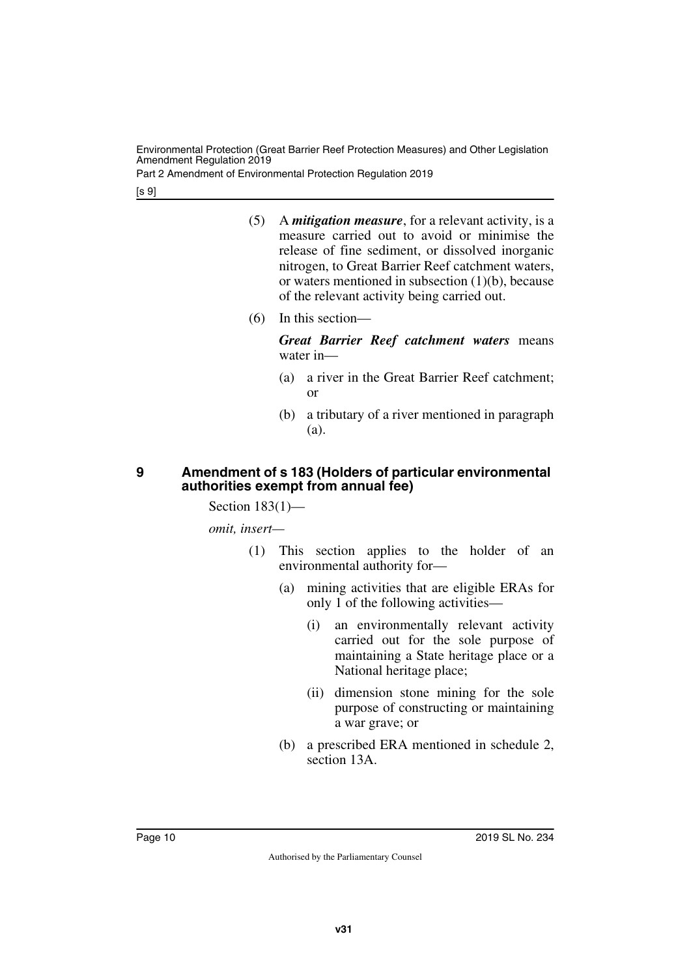Part 2 Amendment of Environmental Protection Regulation 2019

[s 9]

- (5) A *mitigation measure*, for a relevant activity, is a measure carried out to avoid or minimise the release of fine sediment, or dissolved inorganic nitrogen, to Great Barrier Reef catchment waters, or waters mentioned in subsection (1)(b), because of the relevant activity being carried out.
- (6) In this section—

*Great Barrier Reef catchment waters* means water in—

- (a) a river in the Great Barrier Reef catchment; or
- (b) a tributary of a river mentioned in paragraph (a).

### <span id="page-9-1"></span><span id="page-9-0"></span>**9 Amendment of s 183 (Holders of particular environmental authorities exempt from annual fee)**

Section  $183(1)$ —

*omit, insert—*

- (1) This section applies to the holder of an environmental authority for—
	- (a) mining activities that are eligible ERAs for only 1 of the following activities—
		- (i) an environmentally relevant activity carried out for the sole purpose of maintaining a State heritage place or a National heritage place;
		- (ii) dimension stone mining for the sole purpose of constructing or maintaining a war grave; or
	- (b) a prescribed ERA mentioned in schedule 2, section 13A.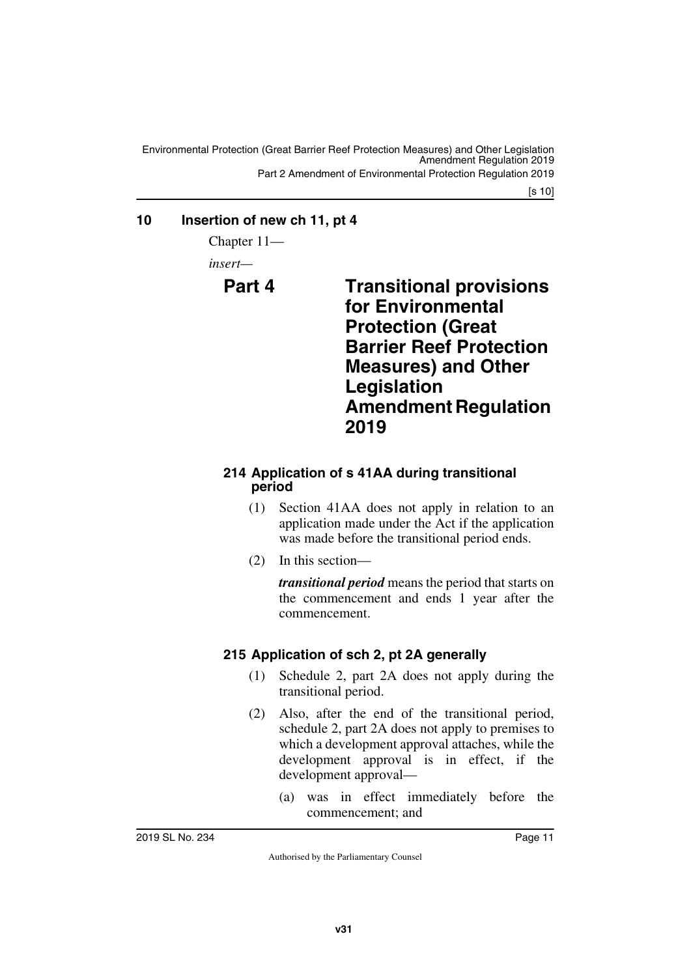# <span id="page-10-0"></span>**10 Insertion of new ch 11, pt 4**

<span id="page-10-1"></span>Chapter 11—

<span id="page-10-2"></span>*insert—*

# <span id="page-10-3"></span>**Part 4 Transitional provisions for Environmental Protection (Great Barrier Reef Protection Measures) and Other Legislation Amendment Regulation 2019**

# <span id="page-10-5"></span><span id="page-10-4"></span>**214 Application of s 41AA during transitional period**

- (1) Section 41AA does not apply in relation to an application made under the Act if the application was made before the transitional period ends.
- (2) In this section—

*transitional period* means the period that starts on the commencement and ends 1 year after the commencement.

# <span id="page-10-7"></span><span id="page-10-6"></span>**215 Application of sch 2, pt 2A generally**

- (1) Schedule 2, part 2A does not apply during the transitional period.
- (2) Also, after the end of the transitional period, schedule 2, part 2A does not apply to premises to which a development approval attaches, while the development approval is in effect, if the development approval—
	- (a) was in effect immediately before the commencement; and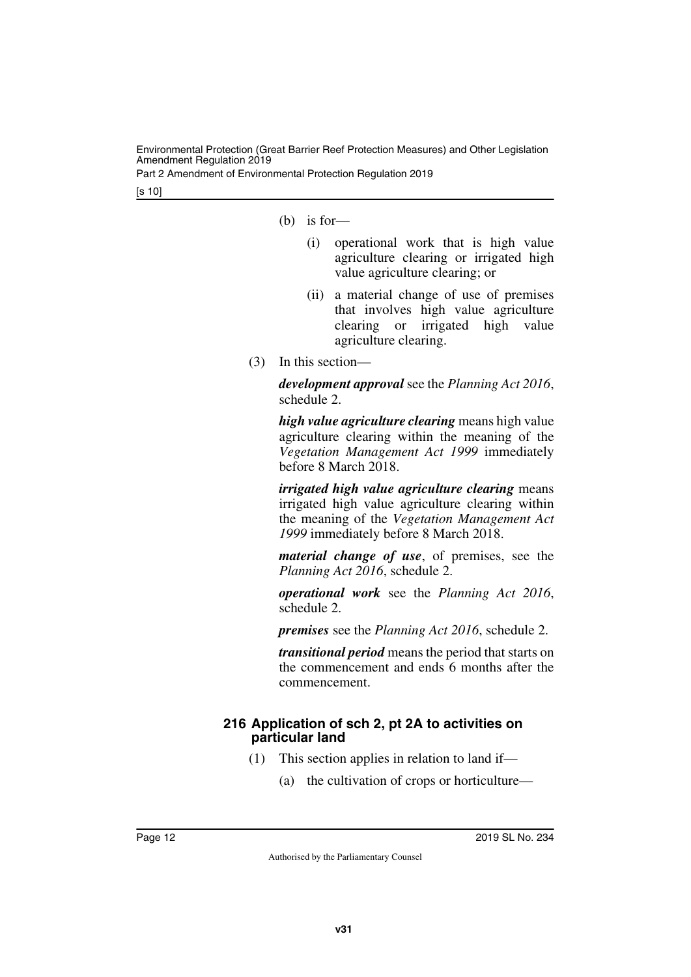Part 2 Amendment of Environmental Protection Regulation 2019

[s 10]

- (b) is for-
	- (i) operational work that is high value agriculture clearing or irrigated high value agriculture clearing; or
	- (ii) a material change of use of premises that involves high value agriculture clearing or irrigated high value agriculture clearing.
- (3) In this section—

*development approval* see the *Planning Act 2016*, schedule 2.

*high value agriculture clearing* means high value agriculture clearing within the meaning of the *Vegetation Management Act 1999* immediately before 8 March 2018.

*irrigated high value agriculture clearing* means irrigated high value agriculture clearing within the meaning of the *Vegetation Management Act 1999* immediately before 8 March 2018.

*material change of use*, of premises, see the *Planning Act 2016*, schedule 2.

*operational work* see the *Planning Act 2016*, schedule 2.

*premises* see the *Planning Act 2016*, schedule 2.

*transitional period* means the period that starts on the commencement and ends 6 months after the commencement.

### <span id="page-11-1"></span><span id="page-11-0"></span>**216 Application of sch 2, pt 2A to activities on particular land**

- (1) This section applies in relation to land if—
	- (a) the cultivation of crops or horticulture—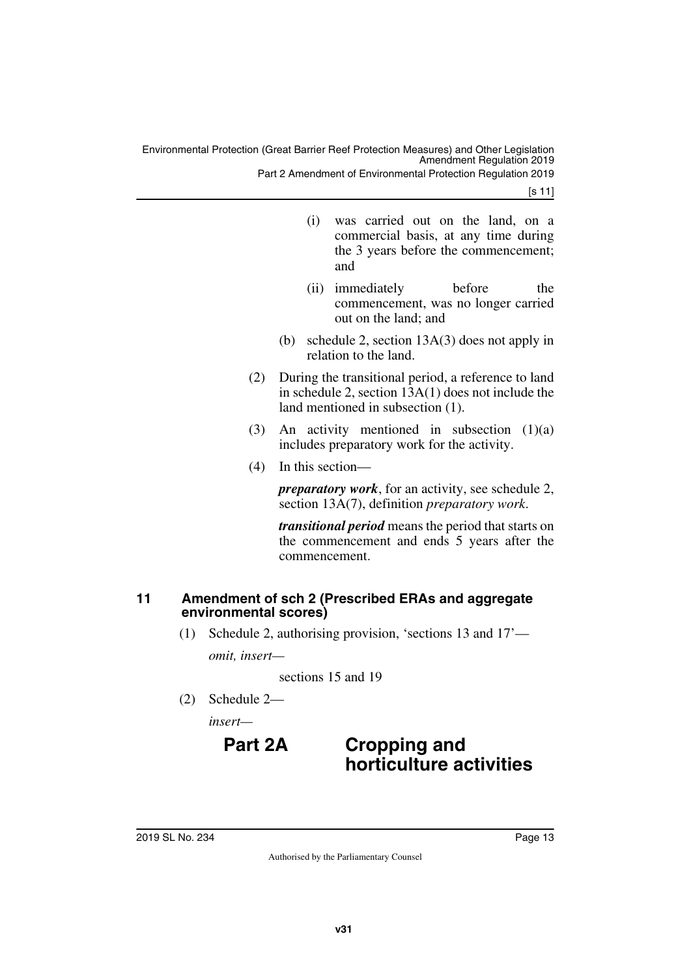Part 2 Amendment of Environmental Protection Regulation 2019

[s 11]

- (i) was carried out on the land, on a commercial basis, at any time during the 3 years before the commencement; and
- (ii) immediately before the commencement, was no longer carried out on the land; and
- (b) schedule 2, section 13A(3) does not apply in relation to the land.
- (2) During the transitional period, a reference to land in schedule 2, section 13A(1) does not include the land mentioned in subsection (1).
- (3) An activity mentioned in subsection (1)(a) includes preparatory work for the activity.
- (4) In this section—

*preparatory work*, for an activity, see schedule 2, section 13A(7), definition *preparatory work*.

*transitional period* means the period that starts on the commencement and ends 5 years after the commencement.

### <span id="page-12-1"></span><span id="page-12-0"></span>**11 Amendment of sch 2 (Prescribed ERAs and aggregate environmental scores)**

(1) Schedule 2, authorising provision, 'sections 13 and 17'—

*omit, insert—*

sections 15 and 19

(2) Schedule 2—

*insert—*

# **Part 2A Cropping and horticulture activities**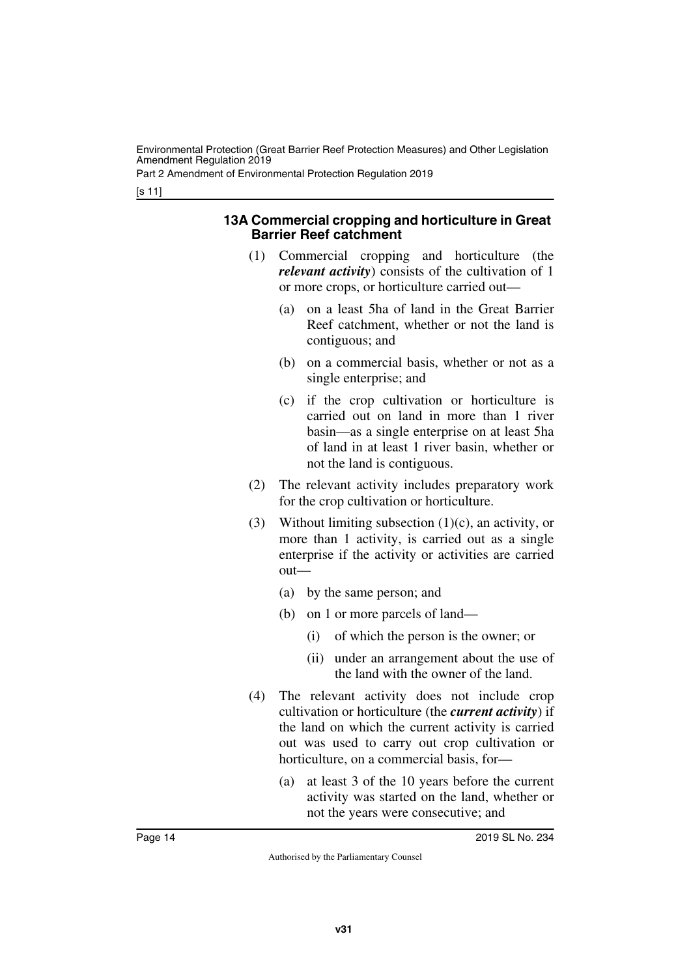Part 2 Amendment of Environmental Protection Regulation 2019

[s 11]

#### **13A Commercial cropping and horticulture in Great Barrier Reef catchment**

- (1) Commercial cropping and horticulture (the *relevant activity*) consists of the cultivation of 1 or more crops, or horticulture carried out—
	- (a) on a least 5ha of land in the Great Barrier Reef catchment, whether or not the land is contiguous; and
	- (b) on a commercial basis, whether or not as a single enterprise; and
	- (c) if the crop cultivation or horticulture is carried out on land in more than 1 river basin—as a single enterprise on at least 5ha of land in at least 1 river basin, whether or not the land is contiguous.
- (2) The relevant activity includes preparatory work for the crop cultivation or horticulture.
- (3) Without limiting subsection  $(1)(c)$ , an activity, or more than 1 activity, is carried out as a single enterprise if the activity or activities are carried out—
	- (a) by the same person; and
	- (b) on 1 or more parcels of land—
		- (i) of which the person is the owner; or
		- (ii) under an arrangement about the use of the land with the owner of the land.
- (4) The relevant activity does not include crop cultivation or horticulture (the *current activity*) if the land on which the current activity is carried out was used to carry out crop cultivation or horticulture, on a commercial basis, for—
	- (a) at least 3 of the 10 years before the current activity was started on the land, whether or not the years were consecutive; and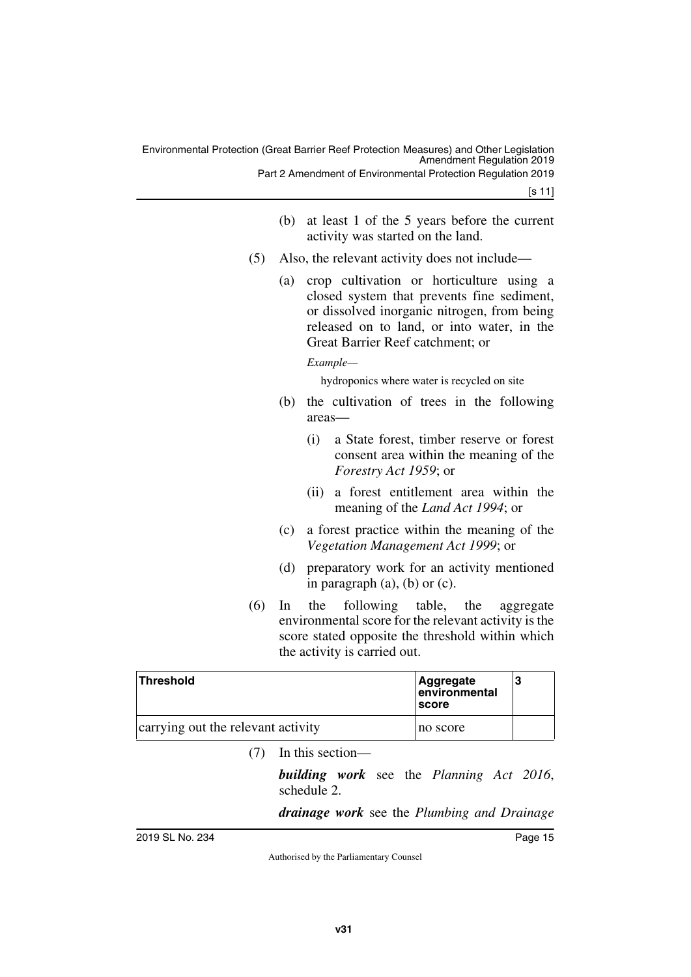|     | (b) | at least 1 of the 5 years before the current<br>activity was started on the land.                                                                                                                                       |
|-----|-----|-------------------------------------------------------------------------------------------------------------------------------------------------------------------------------------------------------------------------|
| (5) |     | Also, the relevant activity does not include—                                                                                                                                                                           |
|     | (a) | crop cultivation or horticulture using a<br>closed system that prevents fine sediment,<br>or dissolved inorganic nitrogen, from being<br>released on to land, or into water, in the<br>Great Barrier Reef catchment; or |
|     |     | Example—                                                                                                                                                                                                                |
|     |     | hydroponics where water is recycled on site                                                                                                                                                                             |
|     | (b) | the cultivation of trees in the following<br>areas-                                                                                                                                                                     |
|     |     | a State forest, timber reserve or forest<br>(i)<br>consent area within the meaning of the<br><i>Forestry Act 1959</i> ; or                                                                                              |
|     |     | a forest entitlement area within the<br>(ii)<br>meaning of the <i>Land Act 1994</i> ; or                                                                                                                                |
|     | (c) | a forest practice within the meaning of the<br>Vegetation Management Act 1999; or                                                                                                                                       |
|     | (d) | preparatory work for an activity mentioned<br>in paragraph $(a)$ , $(b)$ or $(c)$ .                                                                                                                                     |
| (6) |     | In the following table, the aggregate                                                                                                                                                                                   |

(6) In the following table, the aggregate environmental score for the relevant activity is the score stated opposite the threshold within which the activity is carried out.

| <b>Threshold</b>                   | Aggregate<br>environmental<br><b>Iscore</b> | 13 |
|------------------------------------|---------------------------------------------|----|
| carrying out the relevant activity | no score                                    |    |

(7) In this section—

*building work* see the *Planning Act 2016*, schedule 2.

*drainage work* see the *Plumbing and Drainage*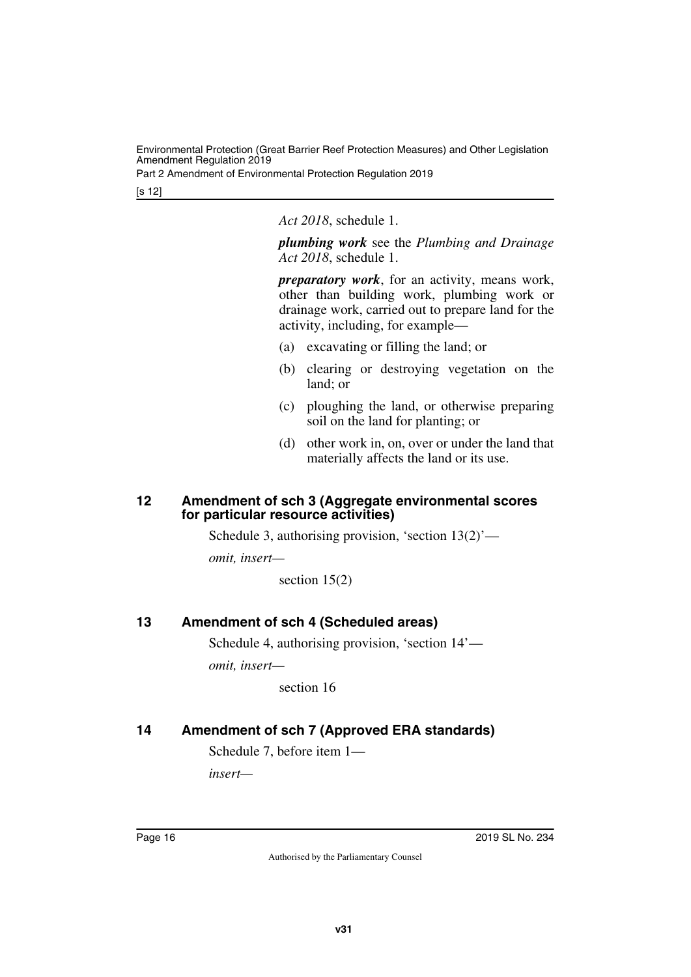Part 2 Amendment of Environmental Protection Regulation 2019

[s 12]

*Act 2018*, schedule 1.

*plumbing work* see the *Plumbing and Drainage Act 2018*, schedule 1.

*preparatory work*, for an activity, means work, other than building work, plumbing work or drainage work, carried out to prepare land for the activity, including, for example—

- (a) excavating or filling the land; or
- (b) clearing or destroying vegetation on the land; or
- (c) ploughing the land, or otherwise preparing soil on the land for planting; or
- (d) other work in, on, over or under the land that materially affects the land or its use.

#### <span id="page-15-1"></span><span id="page-15-0"></span>**12 Amendment of sch 3 (Aggregate environmental scores for particular resource activities)**

Schedule 3, authorising provision, 'section 13(2)'—

*omit, insert—*

section 15(2)

### <span id="page-15-2"></span>**13 Amendment of sch 4 (Scheduled areas)**

<span id="page-15-3"></span>Schedule 4, authorising provision, 'section 14'—

*omit, insert—*

section 16

# <span id="page-15-4"></span>**14 Amendment of sch 7 (Approved ERA standards)**

<span id="page-15-5"></span>Schedule 7, before item 1—

*insert—*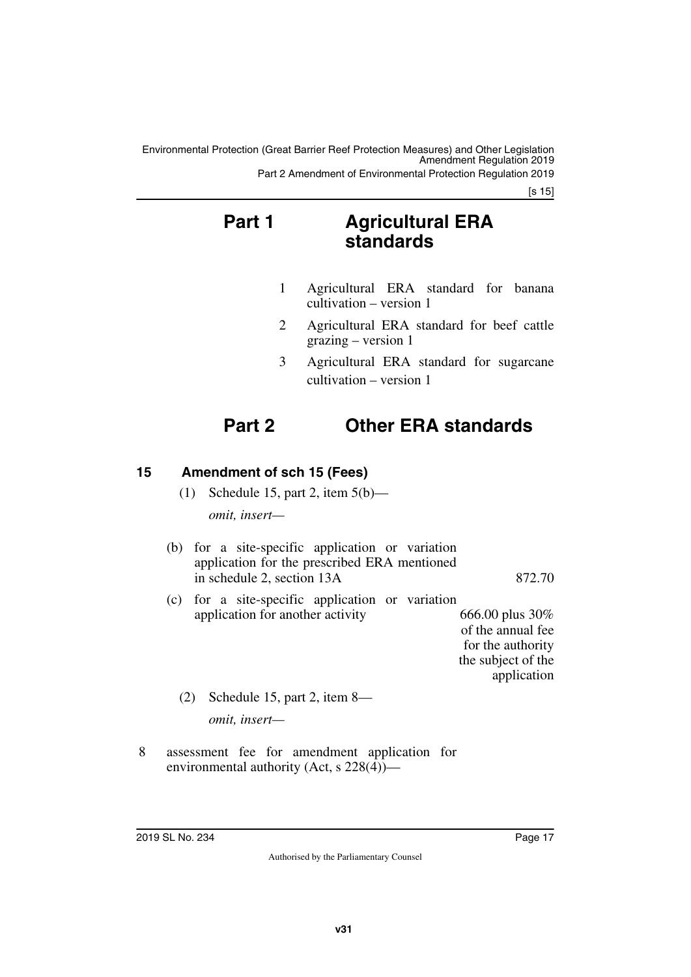Environmental Protection (Great Barrier Reef Protection Measures) and Other Legislation Amendment Regulation 2019 Part 2 Amendment of Environmental Protection Regulation 2019

[s 15]

# **Part 1 Agricultural ERA standards**

- 1 Agricultural ERA standard for banana cultivation – version 1
- 2 Agricultural ERA standard for beef cattle grazing – version 1
- 3 Agricultural ERA standard for sugarcane cultivation – version 1

# **Part 2 Other ERA standards**

# <span id="page-16-0"></span>**15 Amendment of sch 15 (Fees)**

- <span id="page-16-1"></span>(1) Schedule 15, part 2, item  $5(b)$  *omit, insert—*
- (b) for a site-specific application or variation application for the prescribed ERA mentioned in schedule 2, section 13A 872.70
- (c) for a site-specific application or variation application for another activity 666.00 plus 30% of the annual fee for the authority
	- the subject of the application

- (2) Schedule 15, part 2, item 8 *omit, insert—*
- 8 assessment fee for amendment application for environmental authority (Act, s 228(4))—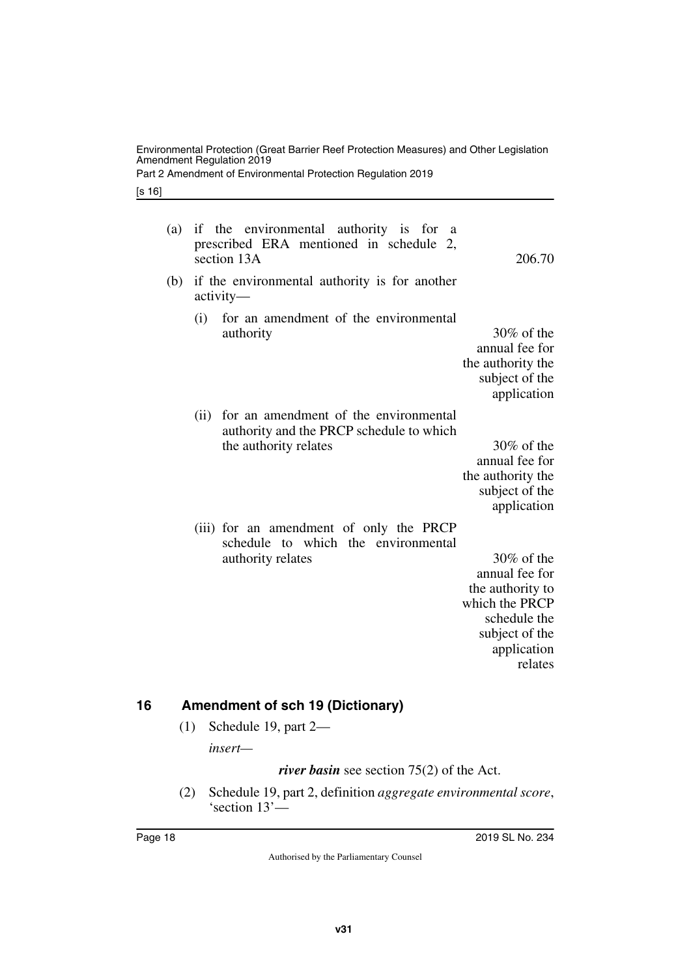|                                                                                                                                                                                                     |                    | [s 16] |
|-----------------------------------------------------------------------------------------------------------------------------------------------------------------------------------------------------|--------------------|--------|
| if the environmental authority is for a<br>prescribed ERA mentioned in schedule 2,<br>206.70                                                                                                        | (a)<br>section 13A |        |
| if the environmental authority is for another                                                                                                                                                       | (b)<br>$activity-$ |        |
| for an amendment of the environmental<br>$30\%$ of the<br>annual fee for<br>the authority the<br>subject of the<br>application                                                                      | (i)                |        |
| for an amendment of the environmental<br>authority and the PRCP schedule to which<br>the authority relates<br>$30\%$ of the<br>annual fee for<br>the authority the<br>subject of the<br>application | (ii)               |        |
| (iii) for an amendment of only the PRCP<br>schedule to which the environmental<br>$30\%$ of the<br>annual fee for<br>the authority to<br>which the $\mathsf{D}\mathsf{R}\mathsf{C}\mathsf{D}$       |                    |        |

Environmental Protection (Great Barrier Reef Protection Measures) and Other Legislation

Part 2 Amendment of Environmental Protection Regulation 2019

Amendment Regulation 2019

which the PRCP schedule the subject of the application relates

### <span id="page-17-0"></span>**16 Amendment of sch 19 (Dictionary)**

<span id="page-17-1"></span>(1) Schedule 19, part 2—

*insert—*

*river basin* see section 75(2) of the Act.

(2) Schedule 19, part 2, definition *aggregate environmental score*, 'section 13'—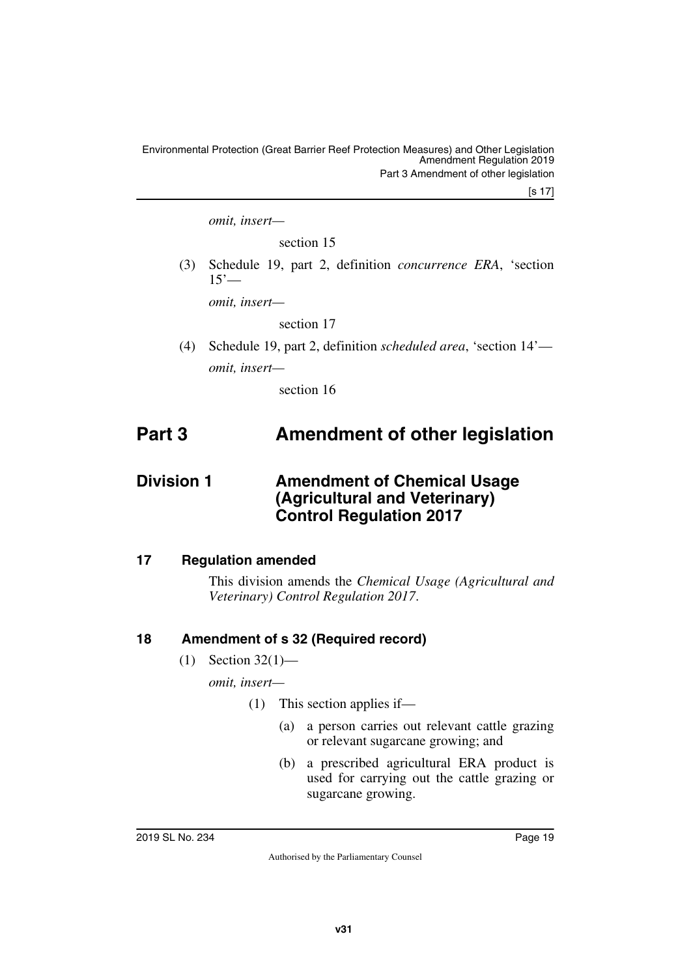[s 17]

*omit, insert—*

section 15

(3) Schedule 19, part 2, definition *concurrence ERA*, 'section  $15'$ —

*omit, insert—*

section 17

(4) Schedule 19, part 2, definition *scheduled area*, 'section 14' *omit, insert—*

<span id="page-18-3"></span><span id="page-18-1"></span>section 16

# <span id="page-18-0"></span>**Part 3 Amendment of other legislation**

# <span id="page-18-2"></span>**Division 1** Amendment of Chemical Usage **(Agricultural and Veterinary) Control Regulation 2017**

### <span id="page-18-4"></span>**17 Regulation amended**

<span id="page-18-5"></span>This division amends the *Chemical Usage (Agricultural and Veterinary) Control Regulation 2017*.

# <span id="page-18-6"></span>**18 Amendment of s 32 (Required record)**

<span id="page-18-7"></span> $(1)$  Section 32(1)—

*omit, insert—*

- (1) This section applies if—
	- (a) a person carries out relevant cattle grazing or relevant sugarcane growing; and
	- (b) a prescribed agricultural ERA product is used for carrying out the cattle grazing or sugarcane growing.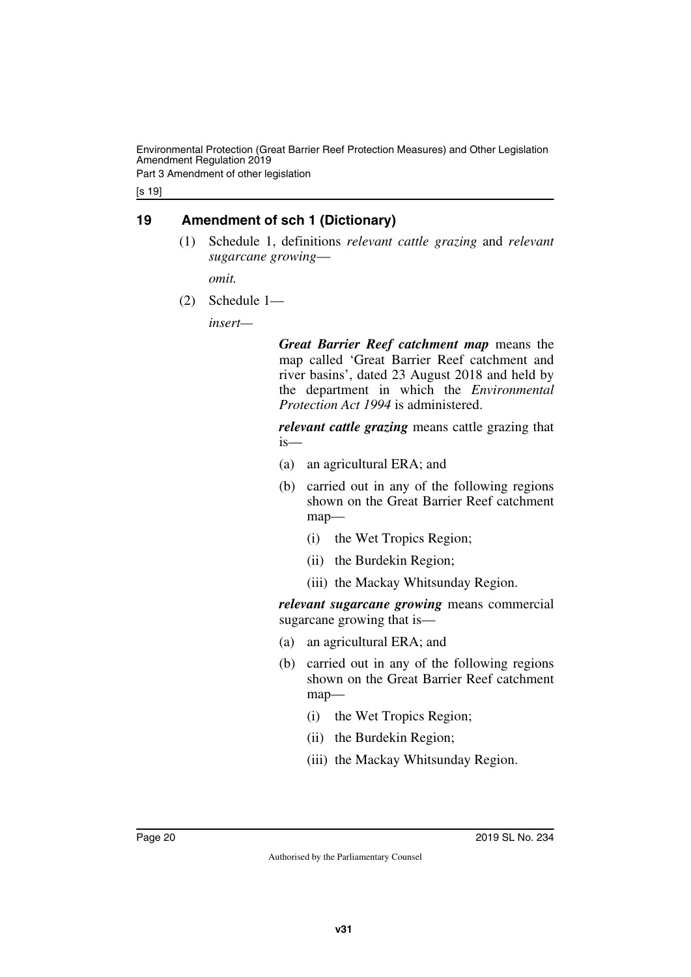Part 3 Amendment of other legislation

[s 19]

# <span id="page-19-0"></span>**19 Amendment of sch 1 (Dictionary)**

<span id="page-19-1"></span>(1) Schedule 1, definitions *relevant cattle grazing* and *relevant sugarcane growing*—

*omit.*

(2) Schedule 1—

*insert—*

*Great Barrier Reef catchment map* means the map called 'Great Barrier Reef catchment and river basins', dated 23 August 2018 and held by the department in which the *Environmental Protection Act 1994* is administered.

*relevant cattle grazing* means cattle grazing that is—

- (a) an agricultural ERA; and
- (b) carried out in any of the following regions shown on the Great Barrier Reef catchment map—
	- (i) the Wet Tropics Region;
	- (ii) the Burdekin Region;
	- (iii) the Mackay Whitsunday Region.

*relevant sugarcane growing* means commercial sugarcane growing that is—

- (a) an agricultural ERA; and
- (b) carried out in any of the following regions shown on the Great Barrier Reef catchment map—
	- (i) the Wet Tropics Region;
	- (ii) the Burdekin Region;
	- (iii) the Mackay Whitsunday Region.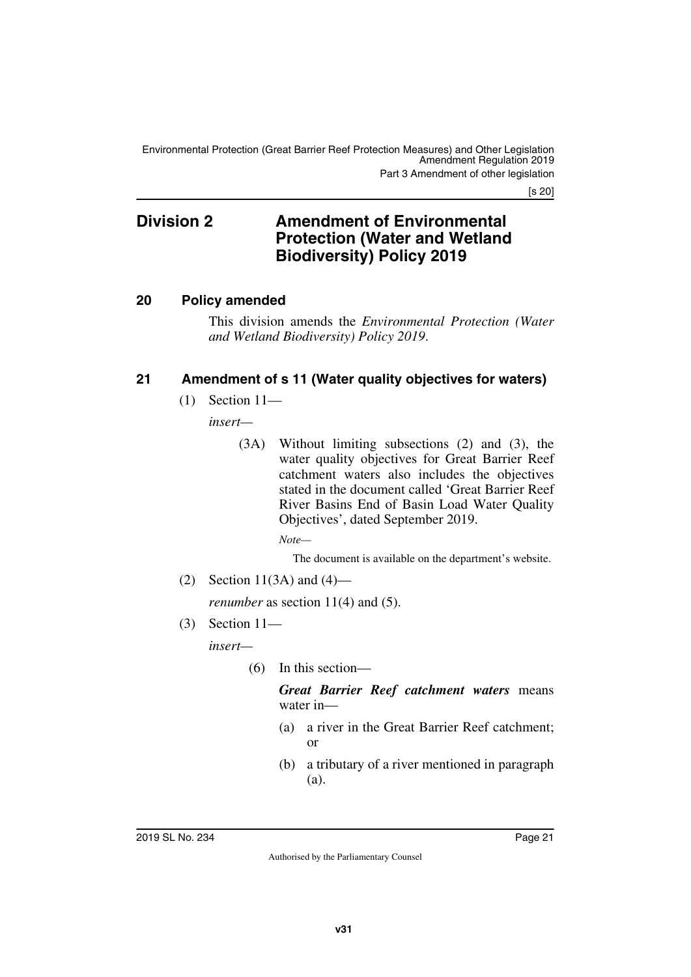<span id="page-20-1"></span>Part 3 Amendment of other legislation

[s 20]

# <span id="page-20-0"></span>**Division 2 Amendment of Environmental Protection (Water and Wetland Biodiversity) Policy 2019**

### <span id="page-20-2"></span>**20 Policy amended**

<span id="page-20-3"></span>This division amends the *Environmental Protection (Water and Wetland Biodiversity) Policy 2019*.

### <span id="page-20-4"></span>**21 Amendment of s 11 (Water quality objectives for waters)**

<span id="page-20-5"></span>(1) Section 11—

*insert—*

(3A) Without limiting subsections (2) and (3), the water quality objectives for Great Barrier Reef catchment waters also includes the objectives stated in the document called 'Great Barrier Reef River Basins End of Basin Load Water Quality Objectives', dated September 2019.

*Note—*

The document is available on the department's website.

(2) Section 11(3A) and  $(4)$ —

*renumber* as section 11(4) and (5).

(3) Section 11—

*insert—*

(6) In this section—

*Great Barrier Reef catchment waters* means water in—

- (a) a river in the Great Barrier Reef catchment; or
- (b) a tributary of a river mentioned in paragraph (a).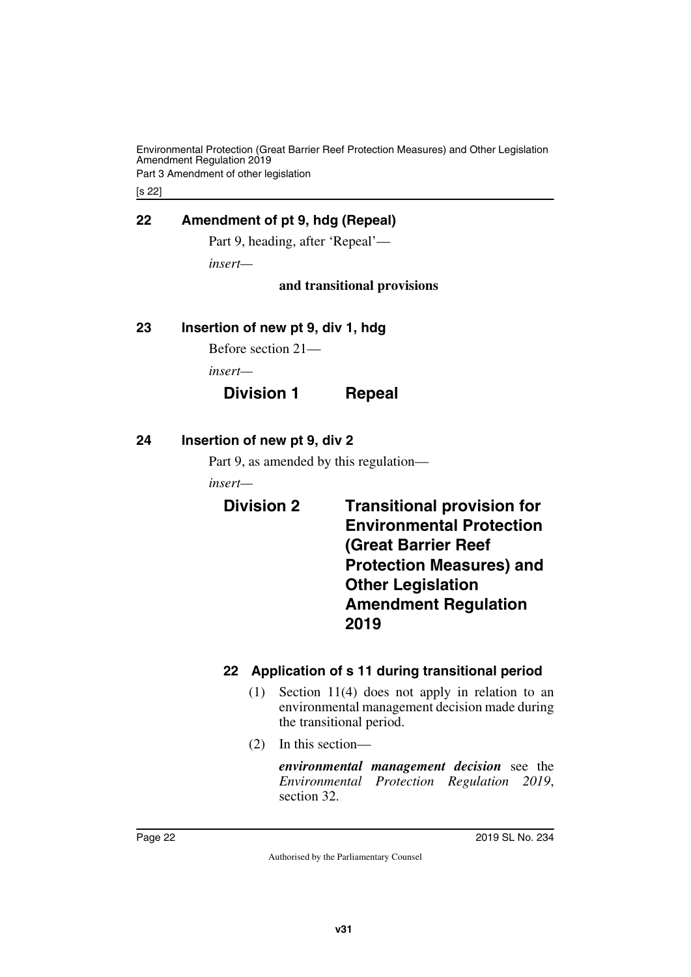Part 3 Amendment of other legislation

[s 22]

### <span id="page-21-0"></span>**22 Amendment of pt 9, hdg (Repeal)**

<span id="page-21-1"></span>Part 9, heading, after 'Repeal'—

*insert—*

#### **and transitional provisions**

#### <span id="page-21-2"></span>**23 Insertion of new pt 9, div 1, hdg**

<span id="page-21-3"></span>Before section 21—

*insert—*

# **Division 1 Repeal**

### <span id="page-21-4"></span>**24 Insertion of new pt 9, div 2**

<span id="page-21-5"></span>Part 9, as amended by this regulation—

*insert—*

<span id="page-21-7"></span><span id="page-21-6"></span>**Division 2 Transitional provision for Environmental Protection (Great Barrier Reef Protection Measures) and Other Legislation Amendment Regulation 2019**

# <span id="page-21-9"></span><span id="page-21-8"></span>**22 Application of s 11 during transitional period**

- (1) Section 11(4) does not apply in relation to an environmental management decision made during the transitional period.
- (2) In this section—

*environmental management decision* see the *Environmental Protection Regulation 2019*, section 32.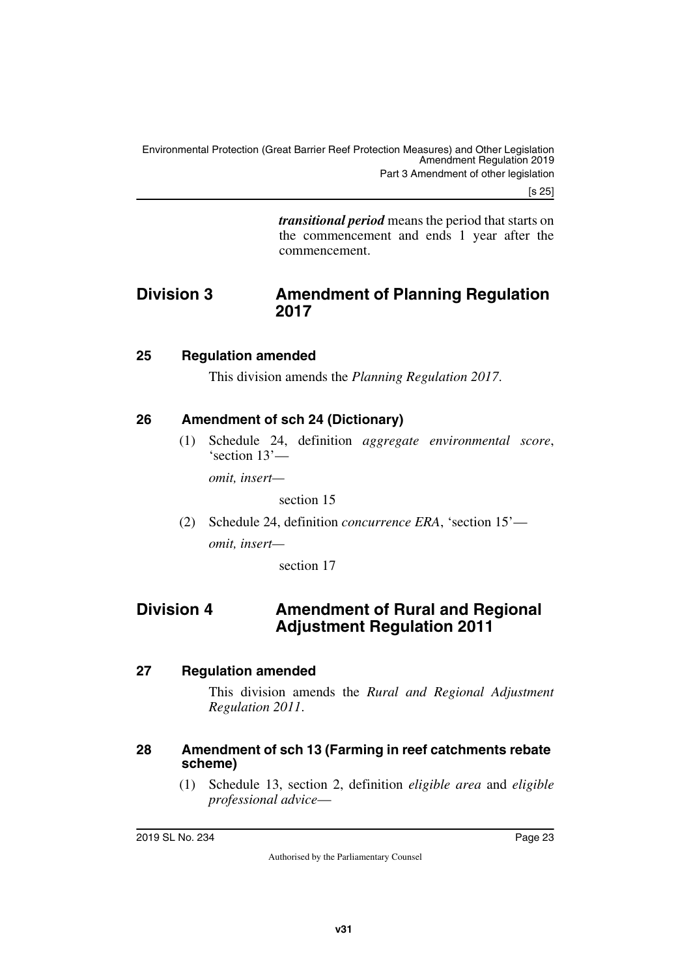[s 25]

<span id="page-22-1"></span>*transitional period* means the period that starts on the commencement and ends 1 year after the commencement.

# <span id="page-22-0"></span>**Division 3 Amendment of Planning Regulation 2017**

# <span id="page-22-2"></span>**25 Regulation amended**

<span id="page-22-3"></span>This division amends the *Planning Regulation 2017*.

# <span id="page-22-4"></span>**26 Amendment of sch 24 (Dictionary)**

<span id="page-22-5"></span>(1) Schedule 24, definition *aggregate environmental score*, 'section 13'—

*omit, insert—*

section 15

(2) Schedule 24, definition *concurrence ERA*, 'section 15' *omit, insert—*

<span id="page-22-7"></span>section 17

# <span id="page-22-6"></span>**Division 4 Amendment of Rural and Regional Adjustment Regulation 2011**

# <span id="page-22-8"></span>**27 Regulation amended**

<span id="page-22-9"></span>This division amends the *Rural and Regional Adjustment Regulation 2011*.

# <span id="page-22-10"></span>**28 Amendment of sch 13 (Farming in reef catchments rebate scheme)**

<span id="page-22-11"></span>(1) Schedule 13, section 2, definition *eligible area* and *eligible professional advice*—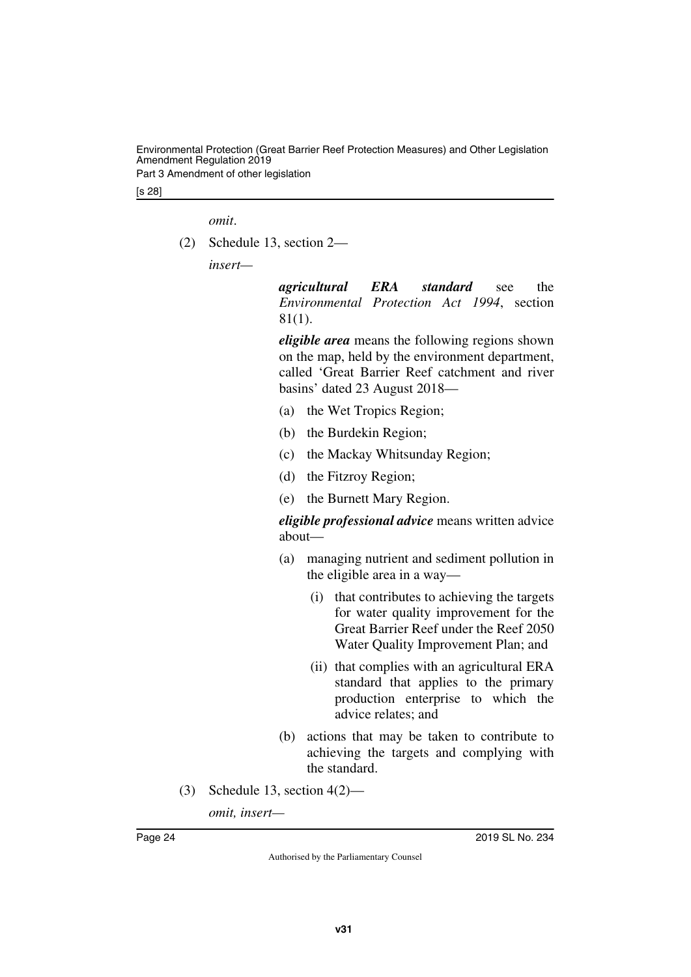Part 3 Amendment of other legislation

[s 28]

*omit*.

(2) Schedule 13, section 2—

*insert—*

*agricultural ERA standard* see the *Environmental Protection Act 1994*, section 81(1).

*eligible area* means the following regions shown on the map, held by the environment department, called 'Great Barrier Reef catchment and river basins' dated 23 August 2018—

- (a) the Wet Tropics Region;
- (b) the Burdekin Region;
- (c) the Mackay Whitsunday Region;
- (d) the Fitzroy Region;
- (e) the Burnett Mary Region.

*eligible professional advice* means written advice about—

- (a) managing nutrient and sediment pollution in the eligible area in a way—
	- (i) that contributes to achieving the targets for water quality improvement for the Great Barrier Reef under the Reef 2050 Water Quality Improvement Plan; and
	- (ii) that complies with an agricultural ERA standard that applies to the primary production enterprise to which the advice relates; and
- (b) actions that may be taken to contribute to achieving the targets and complying with the standard.
- (3) Schedule 13, section 4(2)—

*omit, insert—*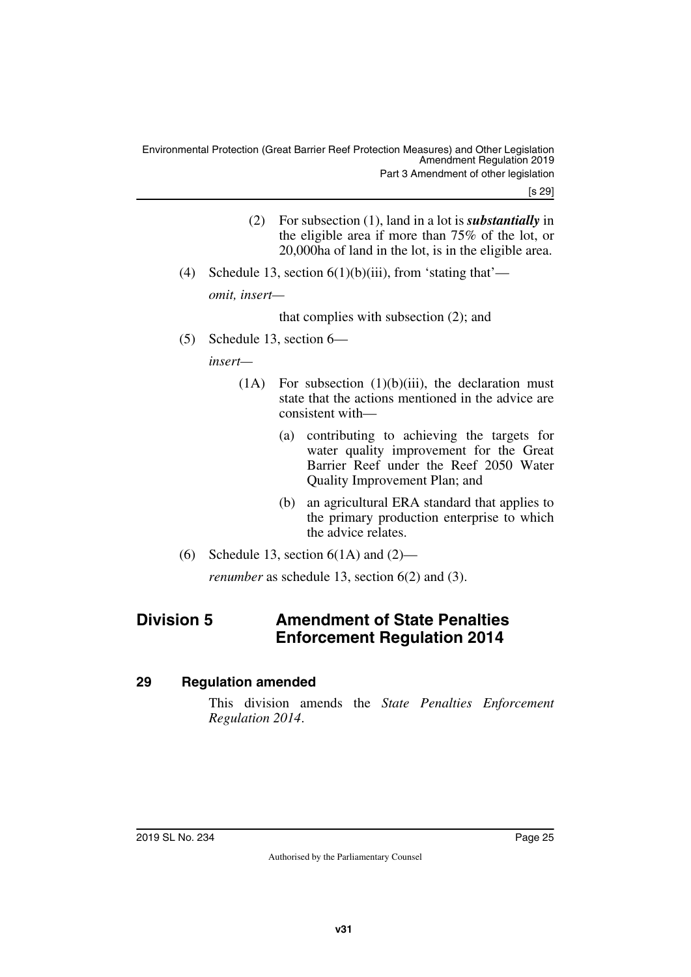[s 29]

- (2) For subsection (1), land in a lot is *substantially* in the eligible area if more than 75% of the lot, or 20,000ha of land in the lot, is in the eligible area.
- (4) Schedule 13, section  $6(1)(b)(iii)$ , from 'stating that' *omit, insert—*

that complies with subsection (2); and

(5) Schedule 13, section 6—

*insert—*

- $(1)$  For subsection  $(1)(b)(iii)$ , the declaration must state that the actions mentioned in the advice are consistent with—
	- (a) contributing to achieving the targets for water quality improvement for the Great Barrier Reef under the Reef 2050 Water Quality Improvement Plan; and
	- (b) an agricultural ERA standard that applies to the primary production enterprise to which the advice relates.
- (6) Schedule 13, section  $6(1A)$  and  $(2)$ —

<span id="page-24-1"></span>*renumber* as schedule 13, section 6(2) and (3).

# <span id="page-24-0"></span>**Division 5 Amendment of State Penalties Enforcement Regulation 2014**

# <span id="page-24-2"></span>**29 Regulation amended**

<span id="page-24-3"></span>This division amends the *State Penalties Enforcement Regulation 2014*.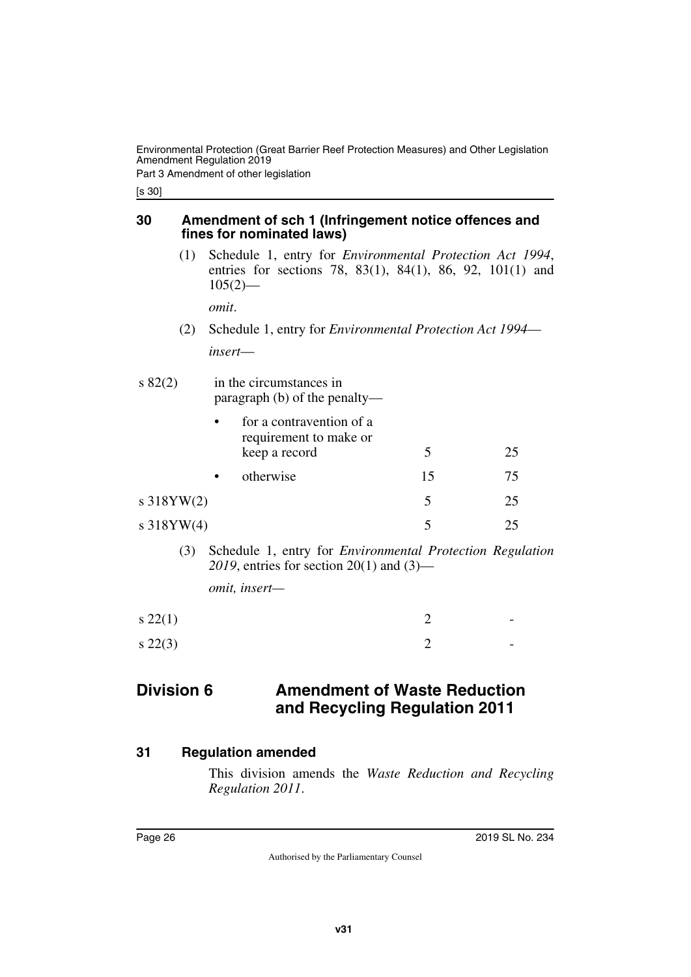Part 3 Amendment of other legislation

[s 30]

### <span id="page-25-1"></span><span id="page-25-0"></span>**30 Amendment of sch 1 (Infringement notice offences and fines for nominated laws)**

(1) Schedule 1, entry for *Environmental Protection Act 1994*, entries for sections 78, 83(1), 84(1), 86, 92, 101(1) and  $105(2)$ —

*omit*.

(2) Schedule 1, entry for *Environmental Protection Act 1994 insert*—

| $s\,82(2)$ | in the circumstances in<br>paragraph $(b)$ of the penalty—          |    |    |  |  |
|------------|---------------------------------------------------------------------|----|----|--|--|
|            | for a contravention of a<br>requirement to make or<br>keep a record | 5  | 25 |  |  |
|            | otherwise                                                           | 15 | 75 |  |  |
| s 318YW(2) |                                                                     |    | 25 |  |  |
|            |                                                                     |    |    |  |  |

- s 318YW(4) 5 25
	- (3) Schedule 1, entry for *Environmental Protection Regulation 2019*, entries for section 20(1) and (3)—

<span id="page-25-3"></span>*omit, insert—*

| $s\,22(1)$ | $\overline{\phantom{0}}$ |
|------------|--------------------------|
| $s\,22(3)$ | $\sim$                   |

# <span id="page-25-2"></span>**Division 6 Amendment of Waste Reduction and Recycling Regulation 2011**

### <span id="page-25-4"></span>**31 Regulation amended**

<span id="page-25-5"></span>This division amends the *Waste Reduction and Recycling Regulation 2011*.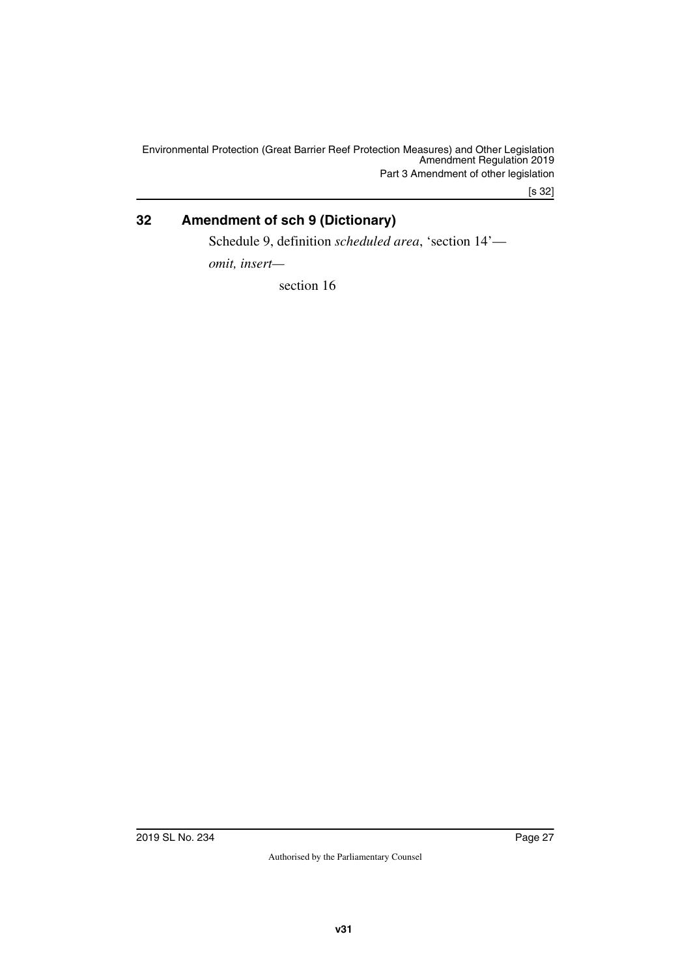[s 32]

# <span id="page-26-0"></span>**32 Amendment of sch 9 (Dictionary)**

<span id="page-26-1"></span>Schedule 9, definition *scheduled area*, 'section 14'—

*omit, insert—*

section 16